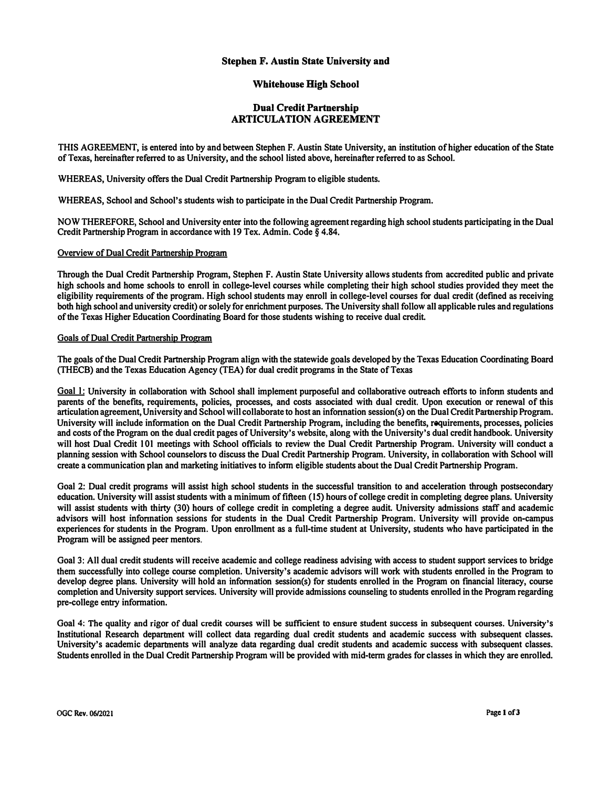## **Stephen F. Austin State University and**

## **Whitehouse High School**

# **Dual Credit Partnership ARTICULATION AGREEMENT**

**THIS AGREEMENT, is entered into by and between Stephen F. Austin State University, an institution of higher education of the State of Texas, hereinafter referred to as University, and the school listed above, hereinafter referred to as School.** 

**WHEREAS, University offers the Dual Credit Partnership Program to eligible students.** 

**WHEREAS, School and School's students wish to participate in the Dual Credit Partnership Program.** 

**NOW THEREFORE, School and University enter into the following agreement regarding high school students participating in the Dual Credit Partnership Program in accordance with 19 Tex. Admin. Code§ 4.84.** 

### **Overview of Dual Credit Partnership Program**

**Through the Dual Credit Partnership Program, Stephen F. Austin State University allows students from accredited public and private high schools and home schools to enroll in college-level courses while completing their high school studies provided they meet the eligibility requirements of the program. High school students may enroll in college-level courses for dual credit (defined as receiving both high school and university credit) or solely for enrichment purposes. The University shall fo11ow al1 applicable rules and regulations of the Texas Higher Education Coordinating Board for those students wishing to receive dual credit.** 

#### **Goals of Dual Credit Partnership Program**

**The goals of the Dual Credit Partnership Program align with the statewide goals developed by the Texas Education Coordinating Board (THECB) and the Texas Education Agency (TEA) for dual credit programs in the State of Texas** 

**Goal l: University in col1aboration with School shall implement purposeful and collaborative outreach efforts to infonn students and parents of the benefits, requirements, policies, processes, and costs associated with dual credit. Upon execution or renewal of this articulation agreement, University and School will collaborate to host an infonnation session(s) on the Dual Credit Partnership Program. University will include information on the Dual Credit Partnership Program, including the benefits, requirements, processes, policies and costs of the Program on the dual credit pages of University's website, along with the University's dual credit handbook. University will host Dual Credit 101 meetings with School officials to review the Dual Credit Partnership Program. University will conduct a planning session with School counselors to discuss the Dual Credit Partnership Program. University, in collaboration with School will create a communication plan and marketing initiatives to infonn eligible students about the Dual Credit Partnership Program.** 

**Goal 2: Dual credit programs will assist high school students in the successful transition to and acceleration through postsecondary education. University will assist students with a minimum of fifteen (15) hours of college credit in completing degree plans. University**  will assist students with thirty (30) hours of college credit in completing a degree audit. University admissions staff and academic **advisors will host infonnation sessions for students in the Dual Credit Partnership Program. University will provide on-campus experiences for students in the Program. Upon enrollment as a full-time student at University, students who have participated in the Program will be assigned peer mentors.** 

**Goal 3: All dual credit students will receive academic and college readiness advising with access to student support services to bridge them successfully into college course completion. University's academic advisors will work with students enrolled in the Program to develop degree plans. University will hold an information session(s) for students enrolled in the Program on financial literacy, course completion and University support services. University will provide admissions counseling to students enrolled in the Program regarding pre-college entry information.** 

**Goal 4: The quality and rigor of dual credit courses will be sufficient to ensure student success in subsequent courses. University's Institutional Research department will collect data regarding dual credit students and academic success with subsequent classes. University's academic departments will analyze data regarding dual credit students and academic success with subsequent classes. Students enrolled in the Dual Credit Partnership Program will be provided with mid-term grades for classes in which they are enrolled.**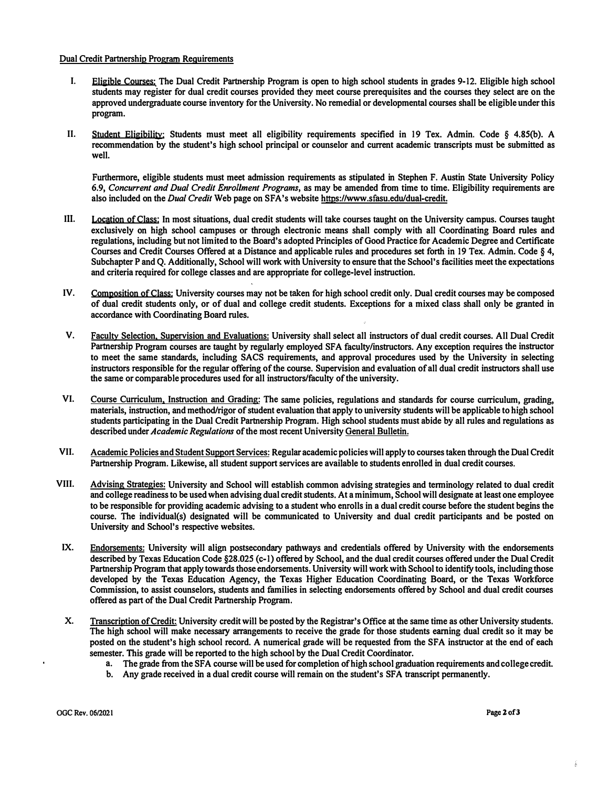## **Dual Credit Partnership Program Requirements**

- **I. Eligible Courses: The Dual Credit Partnership Program is open to high school students in grades 9-12. Eligible high school students may register for dual credit courses provided they meet course prerequisites and the courses they select are on the approved undergraduate course inventory for the University. No remedial or developmental courses shall be eligible under this program.**
- **II. Student Eligibility: Students must meet all eligibility requirements specified in 19 Tex. Admin. Code § 4.85(b). A recommendation by the student's high school principal or counselor and current academic transcripts must be submitted as well.**

**Furthermore, eligible students must meet admission requirements as stipulated in Stephen F. Austin State University Policy 6.9,** *Concurrent and Dual Credit Enrollment Programs,* **as may be amended from time to time. Eligibility requirements are also included on the** *Dual Credit* **Web page on SF A's website https://www.sfasu.edu/dual-credit.** 

- **Ill. Location of Class: In most situations, dual credit students will take courses taught on the University campus. Courses taught exclusively on high school campuses or through electronic means shall comply with all Coordinating Board rules and regulations, including but not limited to the Board's adopted Principles of Good Practice for Academic Degree and Certificate Courses and Credit Courses Offered at a Distance and applicable rules and procedures set forth in 19 Tex. Admin. Code§ 4, Subchapter P and Q. Additionally, School will work with University to ensure that the School's facilities meet the expectations and criteria required for college classes and are appropriate for college-level instruction.**
- **IV. Composition of Class: University courses may not be taken for high school credit only. Dual credit courses may be composed of dual credit students only, or of dual and college credit students. Exceptions for a mixed class shall only be granted in accordance with Coordinating Board rules.**
- **V. Faculty Selection. Supervision and Evaluations: University shall select all instructors of dual credit courses. All Dual Credit**  Partnership Program courses are taught by regularly employed SFA faculty/instructors. Any exception requires the instructor **to meet the same standards, including SACS requirements, and approval procedures used by the University in selecting instructors responsible for the regular offering of the course. Supervision and evaluation of all dual credit instructors shall use the same or comparable procedures used for all instructors/faculty of the university.**
- **VI. Course Curriculum, Instruction and Grading: The same policies, regulations and standards for course curriculum, grading, materials, instruction, and method/rigor of student evaluation that apply to university students will be applicable to high school students participating in the Dual Credit Partnership Program. High school students must abide by all rules and regulations as described under** *Academic Regulations* **of the most recent University General Bulletin.**
- **VII. Academic Policies and Student Support Services: Regular academic policies will apply to courses taken through the Dual Credit Partnership Program. Likewise, all student support services are available to students enrolled in dual credit courses.**
- **VIII. Advising Strategies: University and School will establish common advising strategies and terminology related to dual credit and college readiness to be used when advising dual credit students. At a minimum, School will designate at least one employee to be responsible for providing academic advising to a student who enrolls in a dual credit course before the student begins the course. The individual(s) designated will be communicated to University and dual credit participants and be posted on University and School's respective websites.**
- **IX. Endorsements: University will align postsecondary pathways and credentials offered by University with the endorsements**  described by Texas Education Code §28.025 (c-1) offered by School, and the dual credit courses offered under the Dual Credit **Partnership Program that apply towards those endorsements. University will work with School to identify tools, including those developed by the Texas Education Agency, the Texas Higher Education Coordinating Board, or the Texas Workforce Commission, to assist counselors, students and families in selecting endorsements offered by School and dual credit courses offered as part of the Dual Credit Partnership Program.**
- **X. Transcription of Credit: University credit will be posted by the Registrar's Office at the same time as other University students. The high school will make necessary arrangements to receive the grade for those students earning dual credit so it may be posted on the student's high school record. A numerical grade will be requested from the SFA instructor at the end of each semester. This grade will be reported to the high school by the Dual Credit Coordinator.** 
	- a. The grade from the SFA course will be used for completion of high school graduation requirements and college credit.
	- **b.** Any grade received in a dual credit course will remain on the student's SFA transcript permanently.